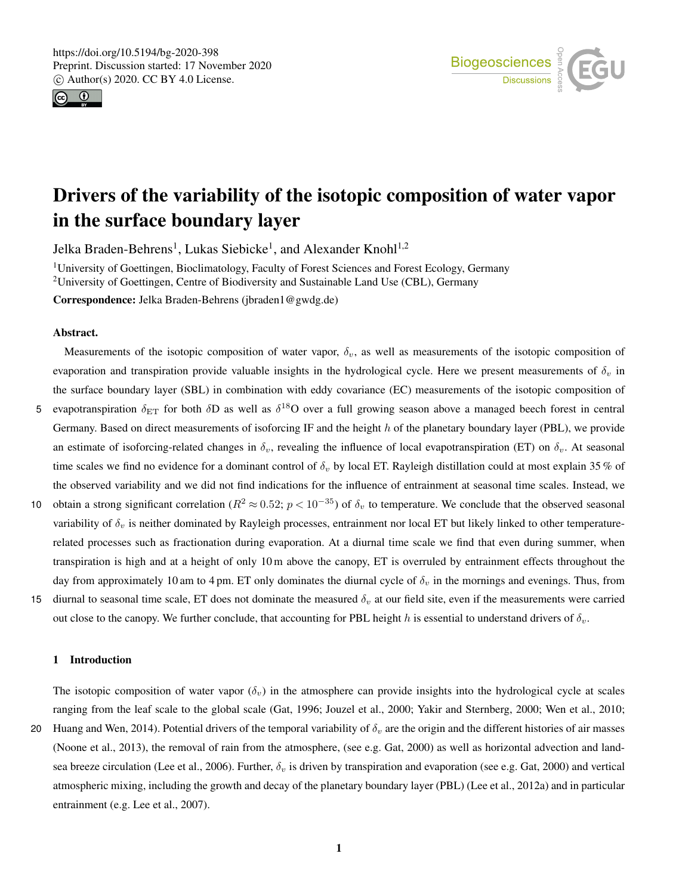



# Drivers of the variability of the isotopic composition of water vapor in the surface boundary layer

Jelka Braden-Behrens<sup>1</sup>, Lukas Siebicke<sup>1</sup>, and Alexander Knohl<sup>1,2</sup>

<sup>1</sup>University of Goettingen, Bioclimatology, Faculty of Forest Sciences and Forest Ecology, Germany <sup>2</sup>University of Goettingen, Centre of Biodiversity and Sustainable Land Use (CBL), Germany

Correspondence: Jelka Braden-Behrens (jbraden1@gwdg.de)

### Abstract.

Measurements of the isotopic composition of water vapor,  $\delta_v$ , as well as measurements of the isotopic composition of evaporation and transpiration provide valuable insights in the hydrological cycle. Here we present measurements of  $\delta_v$  in the surface boundary layer (SBL) in combination with eddy covariance (EC) measurements of the isotopic composition of

- 5 evapotranspiration  $\delta_{ET}$  for both  $\delta D$  as well as  $\delta^{18}O$  over a full growing season above a managed beech forest in central Germany. Based on direct measurements of isoforcing IF and the height h of the planetary boundary layer (PBL), we provide an estimate of isoforcing-related changes in  $\delta_v$ , revealing the influence of local evapotranspiration (ET) on  $\delta_v$ . At seasonal time scales we find no evidence for a dominant control of  $\delta_v$  by local ET. Rayleigh distillation could at most explain 35 % of the observed variability and we did not find indications for the influence of entrainment at seasonal time scales. Instead, we
- 10 obtain a strong significant correlation ( $R^2 \approx 0.52$ ;  $p < 10^{-35}$ ) of  $\delta_v$  to temperature. We conclude that the observed seasonal variability of  $\delta_v$  is neither dominated by Rayleigh processes, entrainment nor local ET but likely linked to other temperaturerelated processes such as fractionation during evaporation. At a diurnal time scale we find that even during summer, when transpiration is high and at a height of only 10 m above the canopy, ET is overruled by entrainment effects throughout the day from approximately 10 am to 4 pm. ET only dominates the diurnal cycle of  $\delta_v$  in the mornings and evenings. Thus, from
- 15 diurnal to seasonal time scale, ET does not dominate the measured  $\delta_v$  at our field site, even if the measurements were carried out close to the canopy. We further conclude, that accounting for PBL height h is essential to understand drivers of  $\delta_v$ .

#### 1 Introduction

The isotopic composition of water vapor  $(\delta_v)$  in the atmosphere can provide insights into the hydrological cycle at scales ranging from the leaf scale to the global scale (Gat, 1996; Jouzel et al., 2000; Yakir and Sternberg, 2000; Wen et al., 2010;

20 Huang and Wen, 2014). Potential drivers of the temporal variability of  $\delta_v$  are the origin and the different histories of air masses (Noone et al., 2013), the removal of rain from the atmosphere, (see e.g. Gat, 2000) as well as horizontal advection and landsea breeze circulation (Lee et al., 2006). Further,  $\delta_v$  is driven by transpiration and evaporation (see e.g. Gat, 2000) and vertical atmospheric mixing, including the growth and decay of the planetary boundary layer (PBL) (Lee et al., 2012a) and in particular entrainment (e.g. Lee et al., 2007).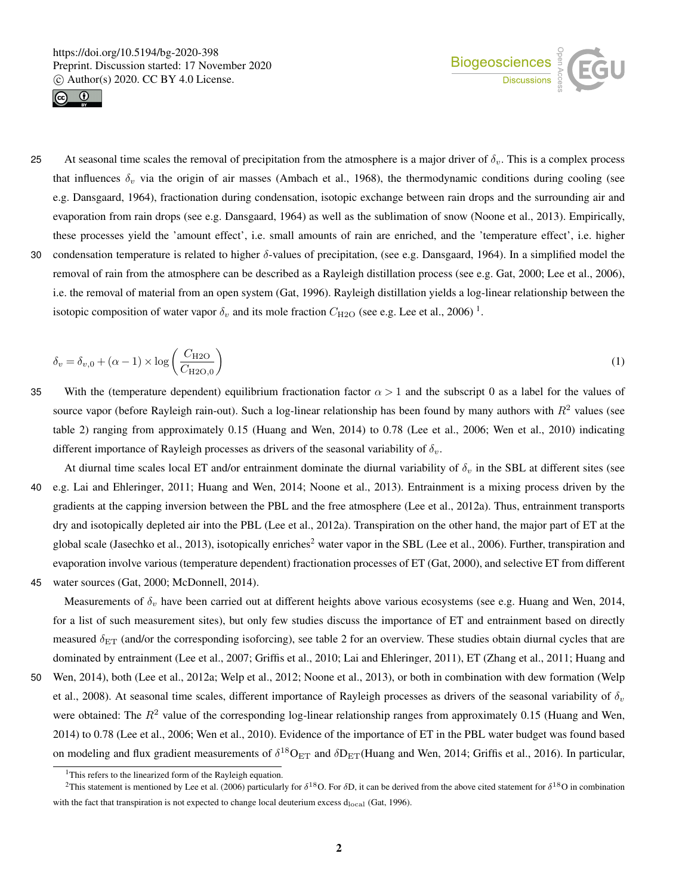



25 At seasonal time scales the removal of precipitation from the atmosphere is a major driver of  $\delta_v$ . This is a complex process that influences  $\delta_v$  via the origin of air masses (Ambach et al., 1968), the thermodynamic conditions during cooling (see e.g. Dansgaard, 1964), fractionation during condensation, isotopic exchange between rain drops and the surrounding air and evaporation from rain drops (see e.g. Dansgaard, 1964) as well as the sublimation of snow (Noone et al., 2013). Empirically, these processes yield the 'amount effect', i.e. small amounts of rain are enriched, and the 'temperature effect', i.e. higher 30 condensation temperature is related to higher  $\delta$ -values of precipitation, (see e.g. Dansgaard, 1964). In a simplified model the removal of rain from the atmosphere can be described as a Rayleigh distillation process (see e.g. Gat, 2000; Lee et al., 2006), i.e. the removal of material from an open system (Gat, 1996). Rayleigh distillation yields a log-linear relationship between the

isotopic composition of water vapor  $\delta_v$  and its mole fraction  $C_{\text{H2O}}$  (see e.g. Lee et al., 2006)<sup>1</sup>.

$$
\delta_v = \delta_{v,0} + (\alpha - 1) \times \log \left( \frac{C_{\text{H2O}}}{C_{\text{H2O},0}} \right) \tag{1}
$$

- 35 With the (temperature dependent) equilibrium fractionation factor  $\alpha > 1$  and the subscript 0 as a label for the values of source vapor (before Rayleigh rain-out). Such a log-linear relationship has been found by many authors with  $R^2$  values (see table 2) ranging from approximately 0.15 (Huang and Wen, 2014) to 0.78 (Lee et al., 2006; Wen et al., 2010) indicating different importance of Rayleigh processes as drivers of the seasonal variability of  $\delta_v$ .
- At diurnal time scales local ET and/or entrainment dominate the diurnal variability of  $\delta_v$  in the SBL at different sites (see 40 e.g. Lai and Ehleringer, 2011; Huang and Wen, 2014; Noone et al., 2013). Entrainment is a mixing process driven by the gradients at the capping inversion between the PBL and the free atmosphere (Lee et al., 2012a). Thus, entrainment transports dry and isotopically depleted air into the PBL (Lee et al., 2012a). Transpiration on the other hand, the major part of ET at the global scale (Jasechko et al., 2013), isotopically enriches<sup>2</sup> water vapor in the SBL (Lee et al., 2006). Further, transpiration and evaporation involve various (temperature dependent) fractionation processes of ET (Gat, 2000), and selective ET from different
- 45 water sources (Gat, 2000; McDonnell, 2014).

Measurements of  $\delta_v$  have been carried out at different heights above various ecosystems (see e.g. Huang and Wen, 2014, for a list of such measurement sites), but only few studies discuss the importance of ET and entrainment based on directly measured  $\delta_{ET}$  (and/or the corresponding isoforcing), see table 2 for an overview. These studies obtain diurnal cycles that are dominated by entrainment (Lee et al., 2007; Griffis et al., 2010; Lai and Ehleringer, 2011), ET (Zhang et al., 2011; Huang and

50 Wen, 2014), both (Lee et al., 2012a; Welp et al., 2012; Noone et al., 2013), or both in combination with dew formation (Welp et al., 2008). At seasonal time scales, different importance of Rayleigh processes as drivers of the seasonal variability of  $\delta_n$ were obtained: The  $R^2$  value of the corresponding log-linear relationship ranges from approximately 0.15 (Huang and Wen, 2014) to 0.78 (Lee et al., 2006; Wen et al., 2010). Evidence of the importance of ET in the PBL water budget was found based on modeling and flux gradient measurements of  $\delta^{18}O_{ET}$  and  $\delta D_{ET}$ (Huang and Wen, 2014; Griffis et al., 2016). In particular,

<sup>&</sup>lt;sup>1</sup>This refers to the linearized form of the Rayleigh equation.

<sup>&</sup>lt;sup>2</sup>This statement is mentioned by Lee et al. (2006) particularly for  $\delta^{18}O$ . For  $\delta D$ , it can be derived from the above cited statement for  $\delta^{18}O$  in combination with the fact that transpiration is not expected to change local deuterium excess  $d_{local}$  (Gat, 1996).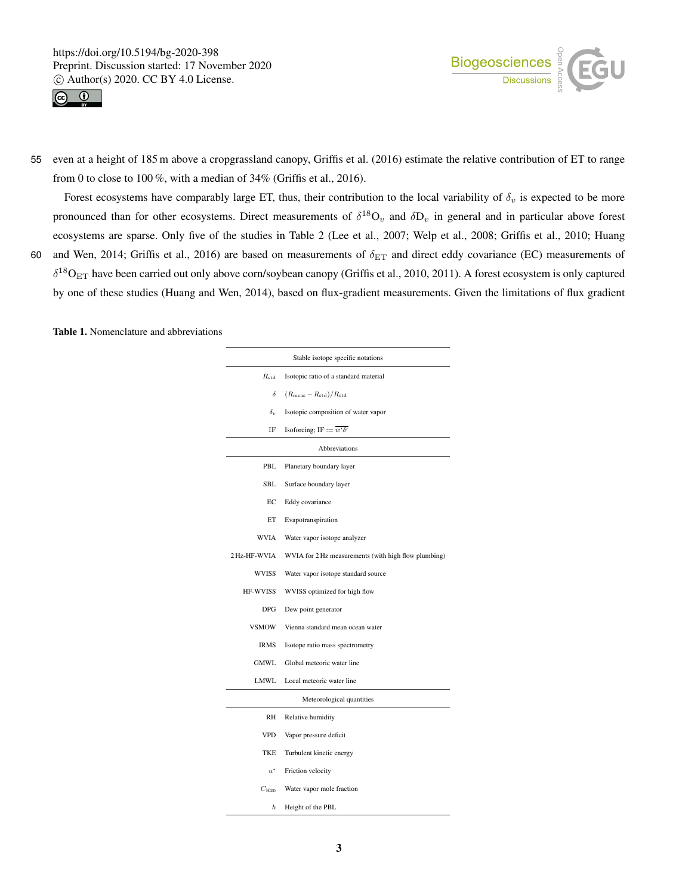



55 even at a height of 185 m above a cropgrassland canopy, Griffis et al. (2016) estimate the relative contribution of ET to range from 0 to close to 100 %, with a median of 34% (Griffis et al., 2016).

Forest ecosystems have comparably large ET, thus, their contribution to the local variability of  $\delta_v$  is expected to be more pronounced than for other ecosystems. Direct measurements of  $\delta^{18}O_v$  and  $\delta D_v$  in general and in particular above forest ecosystems are sparse. Only five of the studies in Table 2 (Lee et al., 2007; Welp et al., 2008; Griffis et al., 2010; Huang 60 and Wen, 2014; Griffis et al., 2016) are based on measurements of  $\delta_{ET}$  and direct eddy covariance (EC) measurements of

 $\delta^{18}O_{ET}$  have been carried out only above corn/soybean canopy (Griffis et al., 2010, 2011). A forest ecosystem is only captured by one of these studies (Huang and Wen, 2014), based on flux-gradient measurements. Given the limitations of flux gradient

Table 1. Nomenclature and abbreviations

| Stable isotope specific notations |                                                      |  |  |  |  |  |
|-----------------------------------|------------------------------------------------------|--|--|--|--|--|
| $R_{\rm std}$                     | Isotopic ratio of a standard material                |  |  |  |  |  |
| δ                                 | $(R_{\text{meas}} - R_{\text{std}})/R_{\text{std}}$  |  |  |  |  |  |
| $\delta_{v}$                      | Isotopic composition of water vapor                  |  |  |  |  |  |
| IF                                | Isoforcing; IF := $\overline{w'\delta'}$             |  |  |  |  |  |
| <b>Abbreviations</b>              |                                                      |  |  |  |  |  |
| PBL                               | Planetary boundary layer                             |  |  |  |  |  |
| SBL                               | Surface boundary layer                               |  |  |  |  |  |
| EC                                | Eddy covariance                                      |  |  |  |  |  |
| ET                                | Evapotranspiration                                   |  |  |  |  |  |
| WVIA                              | Water vapor isotope analyzer                         |  |  |  |  |  |
| 2 Hz-HF-WVIA                      | WVIA for 2 Hz measurements (with high flow plumbing) |  |  |  |  |  |
| WVISS                             | Water vapor isotope standard source                  |  |  |  |  |  |
| <b>HF-WVISS</b>                   | WVISS optimized for high flow                        |  |  |  |  |  |
| DPG                               | Dew point generator                                  |  |  |  |  |  |
| <b>VSMOW</b>                      | Vienna standard mean ocean water                     |  |  |  |  |  |
| IRMS                              | Isotope ratio mass spectrometry                      |  |  |  |  |  |
| GMWL                              | Global meteoric water line                           |  |  |  |  |  |
| LMWL                              | Local meteoric water line                            |  |  |  |  |  |
|                                   | Meteorological quantities                            |  |  |  |  |  |
| RH                                | Relative humidity                                    |  |  |  |  |  |
| <b>VPD</b>                        | Vapor pressure deficit                               |  |  |  |  |  |
| TKE                               | Turbulent kinetic energy                             |  |  |  |  |  |
| $u^*$                             | Friction velocity                                    |  |  |  |  |  |
| $C_{\mathrm{H20}}$                | Water vapor mole fraction                            |  |  |  |  |  |
| h                                 | Height of the PBL                                    |  |  |  |  |  |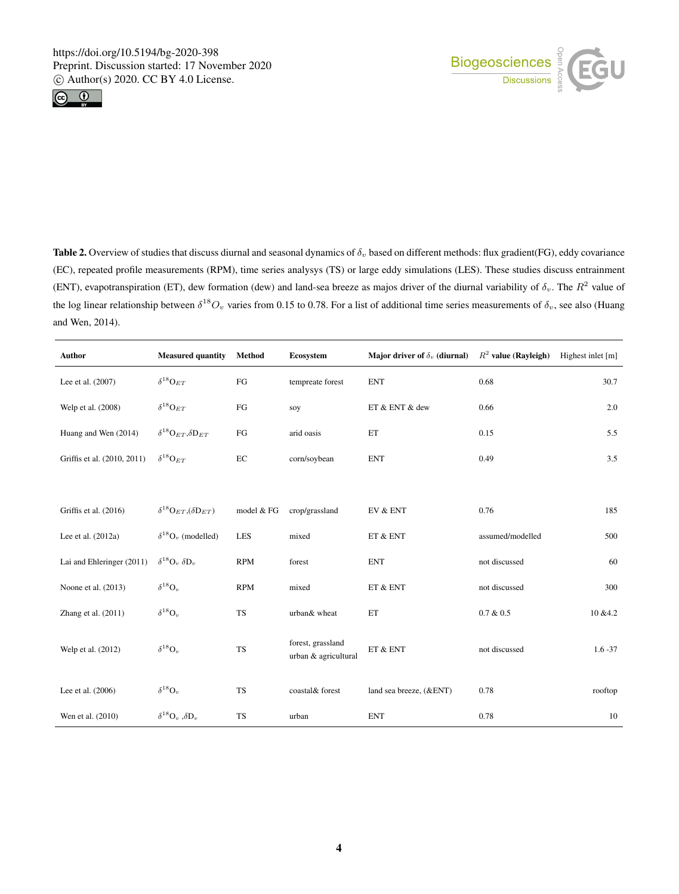



Table 2. Overview of studies that discuss diurnal and seasonal dynamics of  $\delta_v$  based on different methods: flux gradient(FG), eddy covariance (EC), repeated profile measurements (RPM), time series analysys (TS) or large eddy simulations (LES). These studies discuss entrainment (ENT), evapotranspiration (ET), dew formation (dew) and land-sea breeze as majos driver of the diurnal variability of  $\delta_v$ . The  $R^2$  value of the log linear relationship between  $\delta^{18}O_v$  varies from 0.15 to 0.78. For a list of additional time series measurements of  $\delta_v$ , see also (Huang and Wen, 2014).

| Author                      | <b>Measured quantity</b>                               | Method      | Ecosystem                                 | Major driver of $\delta_v$ (diurnal)       | $R^2$ value (Rayleigh) | Highest inlet [m] |
|-----------------------------|--------------------------------------------------------|-------------|-------------------------------------------|--------------------------------------------|------------------------|-------------------|
| Lee et al. (2007)           | $\delta^{18} \mathrm{O}_{ET}$                          | ${\rm FG}$  | tempreate forest                          | <b>ENT</b>                                 | 0.68                   | 30.7              |
| Welp et al. (2008)          | $\delta^{18} \mathrm{O}_{ET}$                          | $_{\rm FG}$ | soy                                       | ET & ENT & dew                             | 0.66                   | 2.0               |
| Huang and Wen (2014)        | $\delta^{18}\mathrm{O}_{ET},\delta\mathrm{D}_{ET}$     | FG          | arid oasis                                | ET                                         | 0.15                   | 5.5               |
| Griffis et al. (2010, 2011) | $\delta^{18} \mathbf{O}_{ET}$                          | $\rm EC$    | corn/soybean                              | <b>ENT</b>                                 | 0.49                   | 3.5               |
|                             |                                                        |             |                                           |                                            |                        |                   |
| Griffis et al. (2016)       | $\delta^{18} \text{O}_{ET}$ , $(\delta \text{D}_{ET})$ | model & FG  | crop/grassland                            | EV & ENT                                   | 0.76                   | 185               |
| Lee et al. (2012a)          | $\delta^{18}O_v$ (modelled)                            | LES         | mixed                                     | ET & ENT                                   | assumed/modelled       | 500               |
| Lai and Ehleringer (2011)   | $\delta^{18}O_v \delta D_v$                            | <b>RPM</b>  | forest                                    | <b>ENT</b>                                 | not discussed          | 60                |
| Noone et al. (2013)         | $\delta^{18}$ O <sub>v</sub>                           | <b>RPM</b>  | mixed                                     | $\operatorname{ET}$ & $\operatorname{ENT}$ | not discussed          | 300               |
| Zhang et al. (2011)         | $\delta^{18} \text{O}_v$                               | <b>TS</b>   | urban& wheat                              | ET                                         | $0.7 \& 0.5$           | 10 & 4.2          |
| Welp et al. (2012)          | $\delta^{18}{\rm O}_{v}$                               | <b>TS</b>   | forest, grassland<br>urban & agricultural | ET & ENT                                   | not discussed          | $1.6 - 37$        |
| Lee et al. (2006)           | $\delta^{18} \text{O}_v$                               | <b>TS</b>   | coastal& forest                           | land sea breeze, (&ENT)                    | 0.78                   | rooftop           |
| Wen et al. (2010)           | $\delta^{18}O_v, \delta D_v$                           | <b>TS</b>   | urban                                     | <b>ENT</b>                                 | 0.78                   | 10                |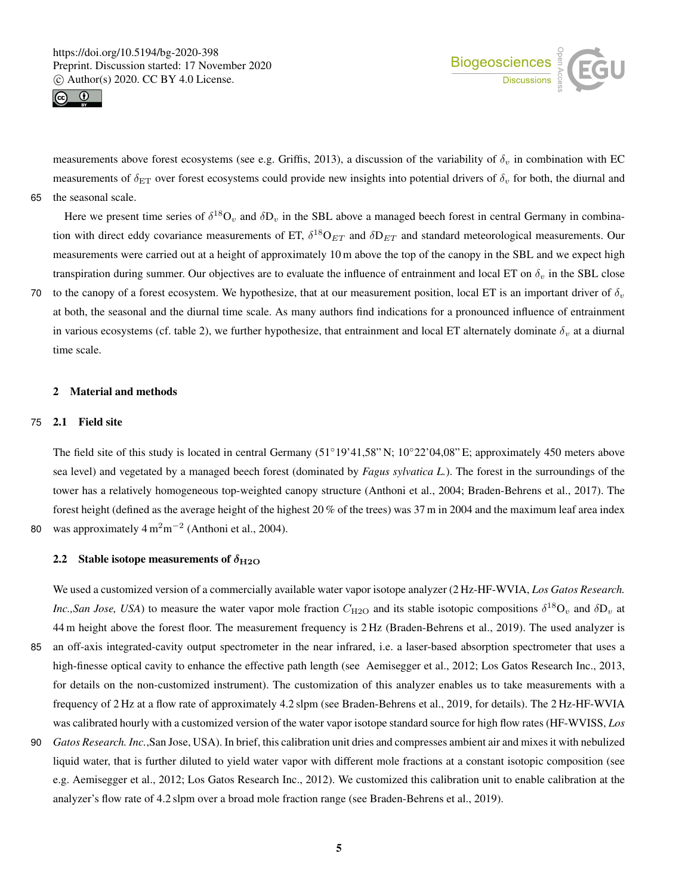



measurements above forest ecosystems (see e.g. Griffis, 2013), a discussion of the variability of  $\delta_v$  in combination with EC measurements of  $\delta_{ET}$  over forest ecosystems could provide new insights into potential drivers of  $\delta_v$  for both, the diurnal and 65 the seasonal scale.

Here we present time series of  $\delta^{18}O_v$  and  $\delta D_v$  in the SBL above a managed beech forest in central Germany in combination with direct eddy covariance measurements of ET,  $\delta^{18}O_{ET}$  and  $\delta D_{ET}$  and standard meteorological measurements. Our measurements were carried out at a height of approximately 10 m above the top of the canopy in the SBL and we expect high transpiration during summer. Our objectives are to evaluate the influence of entrainment and local ET on  $\delta_v$  in the SBL close

70 to the canopy of a forest ecosystem. We hypothesize, that at our measurement position, local ET is an important driver of  $\delta_v$ at both, the seasonal and the diurnal time scale. As many authors find indications for a pronounced influence of entrainment in various ecosystems (cf. table 2), we further hypothesize, that entrainment and local ET alternately dominate  $\delta_v$  at a diurnal time scale.

# 2 Material and methods

#### 75 2.1 Field site

The field site of this study is located in central Germany (51◦19'41,58" N; 10◦22'04,08" E; approximately 450 meters above sea level) and vegetated by a managed beech forest (dominated by *Fagus sylvatica L.*). The forest in the surroundings of the tower has a relatively homogeneous top-weighted canopy structure (Anthoni et al., 2004; Braden-Behrens et al., 2017). The forest height (defined as the average height of the highest 20 % of the trees) was 37 m in 2004 and the maximum leaf area index 80 was approximately  $4 \text{ m}^2 \text{m}^{-2}$  (Anthoni et al., 2004).

## 2.2 Stable isotope measurements of  $\delta_{\text{H2O}}$

We used a customized version of a commercially available water vapor isotope analyzer (2 Hz-HF-WVIA, *Los Gatos Research. Inc.,San Jose, USA*) to measure the water vapor mole fraction  $C_{H2O}$  and its stable isotopic compositions  $\delta^{18}O_v$  and  $\delta D_v$  at 44 m height above the forest floor. The measurement frequency is 2 Hz (Braden-Behrens et al., 2019). The used analyzer is

- 85 an off-axis integrated-cavity output spectrometer in the near infrared, i.e. a laser-based absorption spectrometer that uses a high-finesse optical cavity to enhance the effective path length (see Aemisegger et al., 2012; Los Gatos Research Inc., 2013, for details on the non-customized instrument). The customization of this analyzer enables us to take measurements with a frequency of 2 Hz at a flow rate of approximately 4.2 slpm (see Braden-Behrens et al., 2019, for details). The 2 Hz-HF-WVIA was calibrated hourly with a customized version of the water vapor isotope standard source for high flow rates (HF-WVISS, *Los*
- 90 *Gatos Research. Inc.*,San Jose, USA). In brief, this calibration unit dries and compresses ambient air and mixes it with nebulized liquid water, that is further diluted to yield water vapor with different mole fractions at a constant isotopic composition (see e.g. Aemisegger et al., 2012; Los Gatos Research Inc., 2012). We customized this calibration unit to enable calibration at the analyzer's flow rate of 4.2 slpm over a broad mole fraction range (see Braden-Behrens et al., 2019).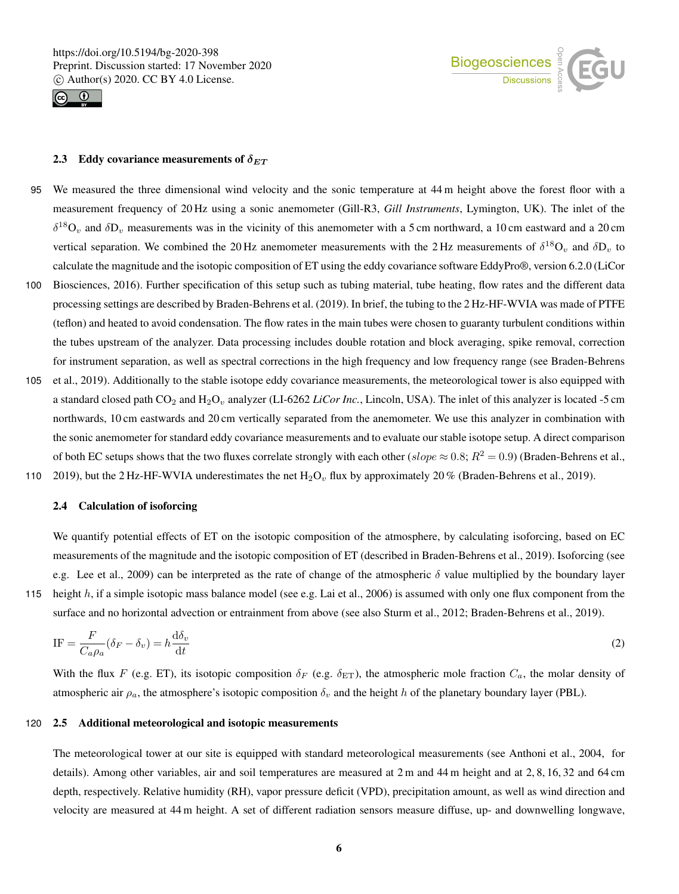



# 2.3 Eddy covariance measurements of  $\delta_{ET}$

- 95 We measured the three dimensional wind velocity and the sonic temperature at 44 m height above the forest floor with a measurement frequency of 20 Hz using a sonic anemometer (Gill-R3, *Gill Instruments*, Lymington, UK). The inlet of the  $\delta^{18}O_v$  and  $\delta D_v$  measurements was in the vicinity of this anemometer with a 5 cm northward, a 10 cm eastward and a 20 cm vertical separation. We combined the 20 Hz anemometer measurements with the 2 Hz measurements of  $\delta^{18}O_v$  and  $\delta D_v$  to calculate the magnitude and the isotopic composition of ET using the eddy covariance software EddyPro®, version 6.2.0 (LiCor 100 Biosciences, 2016). Further specification of this setup such as tubing material, tube heating, flow rates and the different data
- processing settings are described by Braden-Behrens et al. (2019). In brief, the tubing to the 2 Hz-HF-WVIA was made of PTFE (teflon) and heated to avoid condensation. The flow rates in the main tubes were chosen to guaranty turbulent conditions within the tubes upstream of the analyzer. Data processing includes double rotation and block averaging, spike removal, correction for instrument separation, as well as spectral corrections in the high frequency and low frequency range (see Braden-Behrens
- 105 et al., 2019). Additionally to the stable isotope eddy covariance measurements, the meteorological tower is also equipped with a standard closed path  $CO_2$  and  $H_2O_v$  analyzer (LI-6262 *LiCor Inc.*, Lincoln, USA). The inlet of this analyzer is located -5 cm northwards, 10 cm eastwards and 20 cm vertically separated from the anemometer. We use this analyzer in combination with the sonic anemometer for standard eddy covariance measurements and to evaluate our stable isotope setup. A direct comparison of both EC setups shows that the two fluxes correlate strongly with each other (slope  $\approx 0.8$ ;  $R^2 = 0.9$ ) (Braden-Behrens et al., 110 2019), but the 2 Hz-HF-WVIA underestimates the net  $H_2O_v$  flux by approximately 20 % (Braden-Behrens et al., 2019).

#### 2.4 Calculation of isoforcing

We quantify potential effects of ET on the isotopic composition of the atmosphere, by calculating isoforcing, based on EC measurements of the magnitude and the isotopic composition of ET (described in Braden-Behrens et al., 2019). Isoforcing (see e.g. Lee et al., 2009) can be interpreted as the rate of change of the atmospheric  $\delta$  value multiplied by the boundary layer 115 height h, if a simple isotopic mass balance model (see e.g. Lai et al., 2006) is assumed with only one flux component from the surface and no horizontal advection or entrainment from above (see also Sturm et al., 2012; Braden-Behrens et al., 2019).

 $IF = \frac{F}{G}$  $\frac{F}{C_a \rho_a} (\delta_F - \delta_v) = h \frac{\mathrm{d}\delta_v}{\mathrm{d}t}$ (2)

With the flux F (e.g. ET), its isotopic composition  $\delta_F$  (e.g.  $\delta_{ET}$ ), the atmospheric mole fraction  $C_a$ , the molar density of atmospheric air  $\rho_a$ , the atmosphere's isotopic composition  $\delta_v$  and the height h of the planetary boundary layer (PBL).

#### 120 2.5 Additional meteorological and isotopic measurements

dt

The meteorological tower at our site is equipped with standard meteorological measurements (see Anthoni et al., 2004, for details). Among other variables, air and soil temperatures are measured at 2 m and 44 m height and at 2, 8, 16, 32 and 64 cm depth, respectively. Relative humidity (RH), vapor pressure deficit (VPD), precipitation amount, as well as wind direction and velocity are measured at 44 m height. A set of different radiation sensors measure diffuse, up- and downwelling longwave,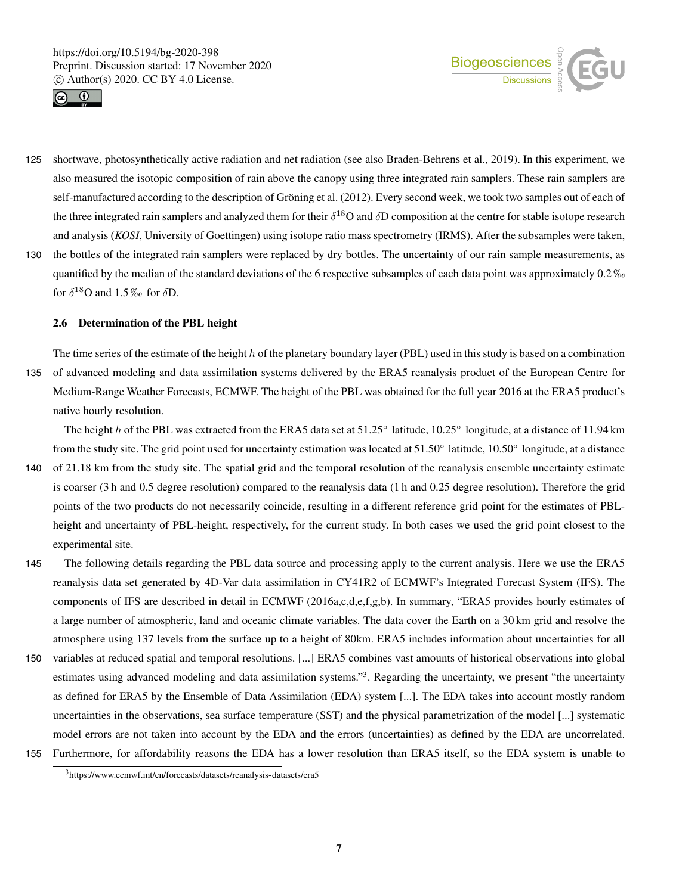



- 125 shortwave, photosynthetically active radiation and net radiation (see also Braden-Behrens et al., 2019). In this experiment, we also measured the isotopic composition of rain above the canopy using three integrated rain samplers. These rain samplers are self-manufactured according to the description of Gröning et al. (2012). Every second week, we took two samples out of each of the three integrated rain samplers and analyzed them for their  $\delta^{18}O$  and  $\delta D$  composition at the centre for stable isotope research and analysis (*KOSI*, University of Goettingen) using isotope ratio mass spectrometry (IRMS). After the subsamples were taken,
- 130 the bottles of the integrated rain samplers were replaced by dry bottles. The uncertainty of our rain sample measurements, as quantified by the median of the standard deviations of the 6 respective subsamples of each data point was approximately 0.2 ‰ for  $\delta^{18}$ O and  $1.5\%$  for  $\delta$ D.

### 2.6 Determination of the PBL height

The time series of the estimate of the height h of the planetary boundary layer (PBL) used in this study is based on a combination 135 of advanced modeling and data assimilation systems delivered by the ERA5 reanalysis product of the European Centre for Medium-Range Weather Forecasts, ECMWF. The height of the PBL was obtained for the full year 2016 at the ERA5 product's native hourly resolution.

The height h of the PBL was extracted from the ERA5 data set at  $51.25^\circ$  latitude,  $10.25^\circ$  longitude, at a distance of 11.94 km from the study site. The grid point used for uncertainty estimation was located at 51.50° latitude, 10.50° longitude, at a distance

- 140 of 21.18 km from the study site. The spatial grid and the temporal resolution of the reanalysis ensemble uncertainty estimate is coarser (3 h and 0.5 degree resolution) compared to the reanalysis data (1 h and 0.25 degree resolution). Therefore the grid points of the two products do not necessarily coincide, resulting in a different reference grid point for the estimates of PBLheight and uncertainty of PBL-height, respectively, for the current study. In both cases we used the grid point closest to the experimental site.
- 145 The following details regarding the PBL data source and processing apply to the current analysis. Here we use the ERA5 reanalysis data set generated by 4D-Var data assimilation in CY41R2 of ECMWF's Integrated Forecast System (IFS). The components of IFS are described in detail in ECMWF (2016a,c,d,e,f,g,b). In summary, "ERA5 provides hourly estimates of a large number of atmospheric, land and oceanic climate variables. The data cover the Earth on a 30 km grid and resolve the atmosphere using 137 levels from the surface up to a height of 80km. ERA5 includes information about uncertainties for all
- 150 variables at reduced spatial and temporal resolutions. [...] ERA5 combines vast amounts of historical observations into global estimates using advanced modeling and data assimilation systems."<sup>3</sup>. Regarding the uncertainty, we present "the uncertainty as defined for ERA5 by the Ensemble of Data Assimilation (EDA) system [...]. The EDA takes into account mostly random uncertainties in the observations, sea surface temperature (SST) and the physical parametrization of the model [...] systematic model errors are not taken into account by the EDA and the errors (uncertainties) as defined by the EDA are uncorrelated. 155 Furthermore, for affordability reasons the EDA has a lower resolution than ERA5 itself, so the EDA system is unable to

<sup>3</sup>https://www.ecmwf.int/en/forecasts/datasets/reanalysis-datasets/era5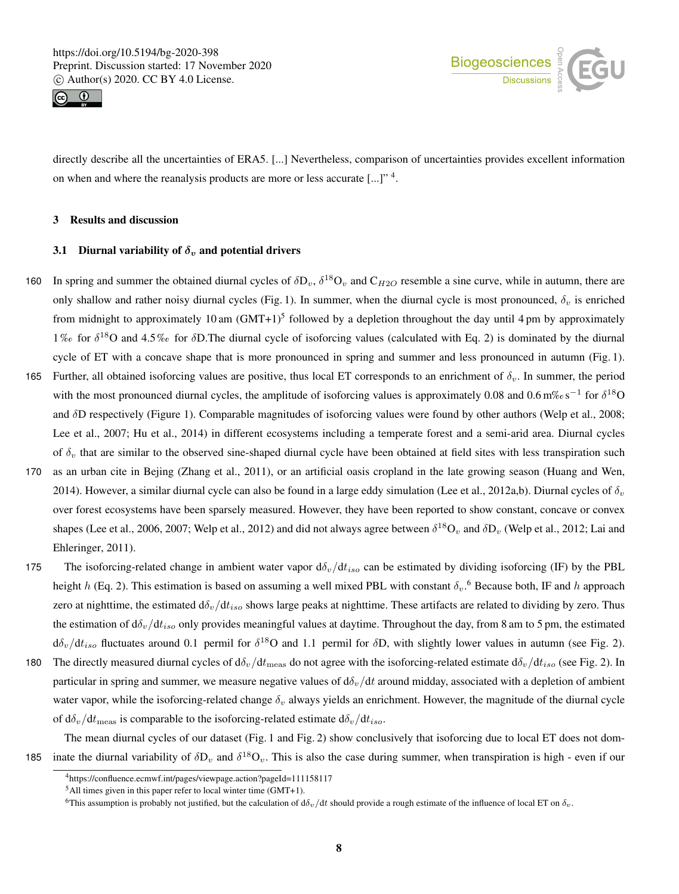



directly describe all the uncertainties of ERA5. [...] Nevertheless, comparison of uncertainties provides excellent information on when and where the reanalysis products are more or less accurate  $[...]$ <sup>"4</sup>.

#### 3 Results and discussion

# 3.1 Diurnal variability of  $\delta_v$  and potential drivers

- 160 In spring and summer the obtained diurnal cycles of  $\delta D_v$ ,  $\delta^{18}O_v$  and  $C_{H2O}$  resemble a sine curve, while in autumn, there are only shallow and rather noisy diurnal cycles (Fig. 1). In summer, when the diurnal cycle is most pronounced,  $\delta_v$  is enriched from midnight to approximately 10 am  $(GMT+1)^5$  followed by a depletion throughout the day until 4 pm by approximately 1% for  $\delta^{18}$ O and 4.5% for  $\delta$ D. The diurnal cycle of isoforcing values (calculated with Eq. 2) is dominated by the diurnal cycle of ET with a concave shape that is more pronounced in spring and summer and less pronounced in autumn (Fig. 1).
- 165 Further, all obtained isoforcing values are positive, thus local ET corresponds to an enrichment of  $\delta_v$ . In summer, the period with the most pronounced diurnal cycles, the amplitude of isoforcing values is approximately 0.08 and  $0.6 \text{ m\%} \cdot \text{s}^{-1}$  for  $\delta^{18}O$ and δD respectively (Figure 1). Comparable magnitudes of isoforcing values were found by other authors (Welp et al., 2008; Lee et al., 2007; Hu et al., 2014) in different ecosystems including a temperate forest and a semi-arid area. Diurnal cycles of  $\delta_v$  that are similar to the observed sine-shaped diurnal cycle have been obtained at field sites with less transpiration such
- 170 as an urban cite in Bejing (Zhang et al., 2011), or an artificial oasis cropland in the late growing season (Huang and Wen, 2014). However, a similar diurnal cycle can also be found in a large eddy simulation (Lee et al., 2012a,b). Diurnal cycles of  $\delta_v$ over forest ecosystems have been sparsely measured. However, they have been reported to show constant, concave or convex shapes (Lee et al., 2006, 2007; Welp et al., 2012) and did not always agree between  $\delta^{18}O_v$  and  $\delta D_v$  (Welp et al., 2012; Lai and Ehleringer, 2011).
- 175 The isoforcing-related change in ambient water vapor  $d\delta_v/dt_{iso}$  can be estimated by dividing isoforcing (IF) by the PBL height h (Eq. 2). This estimation is based on assuming a well mixed PBL with constant  $\delta_v$ . Because both, IF and h approach zero at nighttime, the estimated  $d\delta_v/dt_{iso}$  shows large peaks at nighttime. These artifacts are related to dividing by zero. Thus the estimation of  $d\delta_v/dt_{iso}$  only provides meaningful values at daytime. Throughout the day, from 8 am to 5 pm, the estimated  $d\delta_v/dt_{iso}$  fluctuates around 0.1 permil for  $\delta^{18}$ O and 1.1 permil for  $\delta$ D, with slightly lower values in autumn (see Fig. 2).
- 180 The directly measured diurnal cycles of  $d\delta_v/dt_{\text{meas}}$  do not agree with the isoforcing-related estimate  $d\delta_v/dt_{iso}$  (see Fig. 2). In particular in spring and summer, we measure negative values of  $d\delta_v/dt$  around midday, associated with a depletion of ambient water vapor, while the isoforcing-related change  $\delta_v$  always yields an enrichment. However, the magnitude of the diurnal cycle of  $d\delta_v/dt_{\text{meas}}$  is comparable to the isoforcing-related estimate  $d\delta_v/dt_{iso}$ .

The mean diurnal cycles of our dataset (Fig. 1 and Fig. 2) show conclusively that isoforcing due to local ET does not dom-185 inate the diurnal variability of  $\delta D_v$  and  $\delta^{18}O_v$ . This is also the case during summer, when transpiration is high - even if our

<sup>4</sup>https://confluence.ecmwf.int/pages/viewpage.action?pageId=111158117

 $5$ All times given in this paper refer to local winter time (GMT+1).

<sup>&</sup>lt;sup>6</sup>This assumption is probably not justified, but the calculation of  $d\delta_v/dt$  should provide a rough estimate of the influence of local ET on  $\delta_v$ .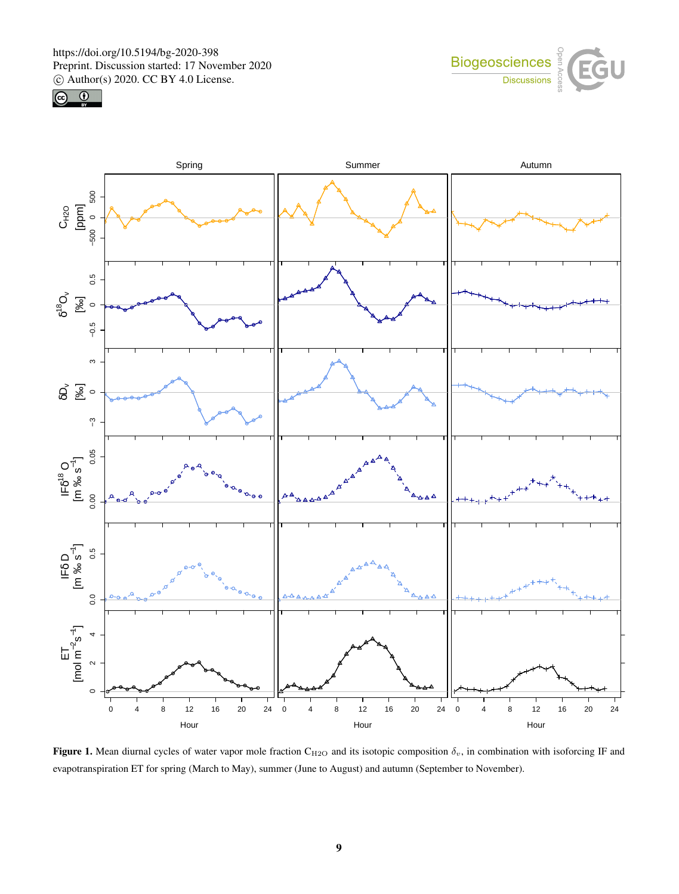https://doi.org/10.5194/bg-2020-398 Preprint. Discussion started: 17 November 2020  $\overline{c}$  Author(s) 2020. CC BY 4.0 License.<br> $\overline{c}$ 







Figure 1. Mean diurnal cycles of water vapor mole fraction C<sub>H2O</sub> and its isotopic composition  $\delta_v$ , in combination with isoforcing IF and evapotranspiration ET for spring (March to May), summer (June to August) and autumn (September to November).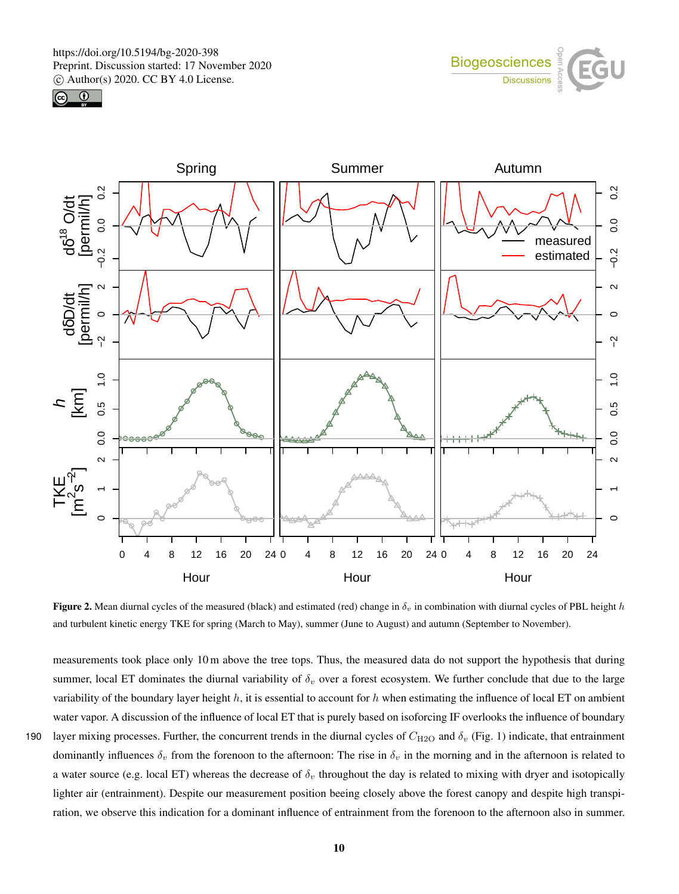





Figure 2. Mean diurnal cycles of the measured (black) and estimated (red) change in  $\delta_v$  in combination with diurnal cycles of PBL height h and turbulent kinetic energy TKE for spring (March to May), summer (June to August) and autumn (September to November).

measurements took place only 10 m above the tree tops. Thus, the measured data do not support the hypothesis that during summer, local ET dominates the diurnal variability of  $\delta_v$  over a forest ecosystem. We further conclude that due to the large variability of the boundary layer height  $h$ , it is essential to account for  $h$  when estimating the influence of local ET on ambient water vapor. A discussion of the influence of local ET that is purely based on isoforcing IF overlooks the influence of boundary 190 layer mixing processes. Further, the concurrent trends in the diurnal cycles of  $C_{\text{H2O}}$  and  $\delta_v$  (Fig. 1) indicate, that entrainment dominantly influences  $\delta_v$  from the forenoon to the afternoon: The rise in  $\delta_v$  in the morning and in the afternoon is related to a water source (e.g. local ET) whereas the decrease of  $\delta_v$  throughout the day is related to mixing with dryer and isotopically lighter air (entrainment). Despite our measurement position beeing closely above the forest canopy and despite high transpiration, we observe this indication for a dominant influence of entrainment from the forenoon to the afternoon also in summer.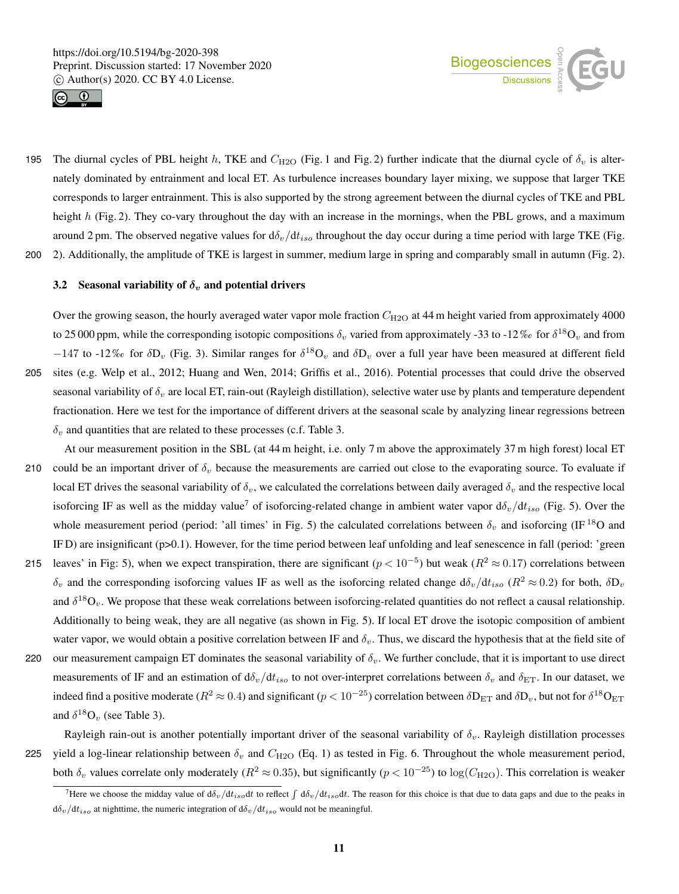



195 The diurnal cycles of PBL height h, TKE and  $C_{H2O}$  (Fig. 1 and Fig. 2) further indicate that the diurnal cycle of  $\delta_v$  is alternately dominated by entrainment and local ET. As turbulence increases boundary layer mixing, we suppose that larger TKE corresponds to larger entrainment. This is also supported by the strong agreement between the diurnal cycles of TKE and PBL height  $h$  (Fig. 2). They co-vary throughout the day with an increase in the mornings, when the PBL grows, and a maximum around 2 pm. The observed negative values for  $d\delta_v/dt_{iso}$  throughout the day occur during a time period with large TKE (Fig. 200 2). Additionally, the amplitude of TKE is largest in summer, medium large in spring and comparably small in autumn (Fig. 2).

#### 3.2 Seasonal variability of  $\delta_v$  and potential drivers

Over the growing season, the hourly averaged water vapor mole fraction  $C_{H2O}$  at 44 m height varied from approximately 4000 to 25 000 ppm, while the corresponding isotopic compositions  $\delta_v$  varied from approximately -33 to -12‰ for  $\delta^{18}O_v$  and from  $-147$  to  $-12\%$  for  $\delta D_v$  (Fig. 3). Similar ranges for  $\delta^{18}O_v$  and  $\delta D_v$  over a full year have been measured at different field 205 sites (e.g. Welp et al., 2012; Huang and Wen, 2014; Griffis et al., 2016). Potential processes that could drive the observed seasonal variability of  $\delta_v$  are local ET, rain-out (Rayleigh distillation), selective water use by plants and temperature dependent fractionation. Here we test for the importance of different drivers at the seasonal scale by analyzing linear regressions betreen  $\delta_v$  and quantities that are related to these processes (c.f. Table 3.

- At our measurement position in the SBL (at 44 m height, i.e. only 7 m above the approximately 37 m high forest) local ET 210 could be an important driver of  $\delta_v$  because the measurements are carried out close to the evaporating source. To evaluate if local ET drives the seasonal variability of  $\delta_v$ , we calculated the correlations between daily averaged  $\delta_v$  and the respective local isoforcing IF as well as the midday value<sup>7</sup> of isoforcing-related change in ambient water vapor  $d\delta_v/dt_{iso}$  (Fig. 5). Over the whole measurement period (period: 'all times' in Fig. 5) the calculated correlations between  $\delta_v$  and isoforcing (IF <sup>18</sup>O and IF D) are insignificant (p>0.1). However, for the time period between leaf unfolding and leaf senescence in fall (period: 'green 215 leaves' in Fig: 5), when we expect transpiration, there are significant  $(p < 10^{-5})$  but weak  $(R^2 \approx 0.17)$  correlations between  $\delta_v$  and the corresponding isoforcing values IF as well as the isoforcing related change  $d\delta_v/dt_{iso}$  ( $R^2 \approx 0.2$ ) for both,  $\delta D_v$ and  $\delta^{18}O_v$ . We propose that these weak correlations between isoforcing-related quantities do not reflect a causal relationship. Additionally to being weak, they are all negative (as shown in Fig. 5). If local ET drove the isotopic composition of ambient
- water vapor, we would obtain a positive correlation between IF and  $\delta_v$ . Thus, we discard the hypothesis that at the field site of 220 our measurement campaign ET dominates the seasonal variability of  $\delta_v$ . We further conclude, that it is important to use direct measurements of IF and an estimation of  $d\delta_v/dt_{iso}$  to not over-interpret correlations between  $\delta_v$  and  $\delta_{ET}$ . In our dataset, we indeed find a positive moderate ( $R^2 \approx 0.4$ ) and significant ( $p < 10^{-25}$ ) correlation between  $\delta D_{ET}$  and  $\delta D_v$ , but not for  $\delta^{18}O_{ET}$ and  $\delta^{18}O_v$  (see Table 3).

Rayleigh rain-out is another potentially important driver of the seasonal variability of  $\delta_v$ . Rayleigh distillation processes 225 yield a log-linear relationship between  $\delta_v$  and  $C_{\text{H2O}}$  (Eq. 1) as tested in Fig. 6. Throughout the whole measurement period, both  $\delta_v$  values correlate only moderately ( $R^2 \approx 0.35$ ), but significantly ( $p < 10^{-25}$ ) to log( $C_{\rm H2O}$ ). This correlation is weaker

<sup>&</sup>lt;sup>7</sup>Here we choose the midday value of  $d\delta_v/dt_{iso}dt$  to reflect  $\int d\delta_v/dt_{iso}dt$ . The reason for this choice is that due to data gaps and due to the peaks in  $d\delta_v/dt_{iso}$  at nighttime, the numeric integration of  $d\delta_v/dt_{iso}$  would not be meaningful.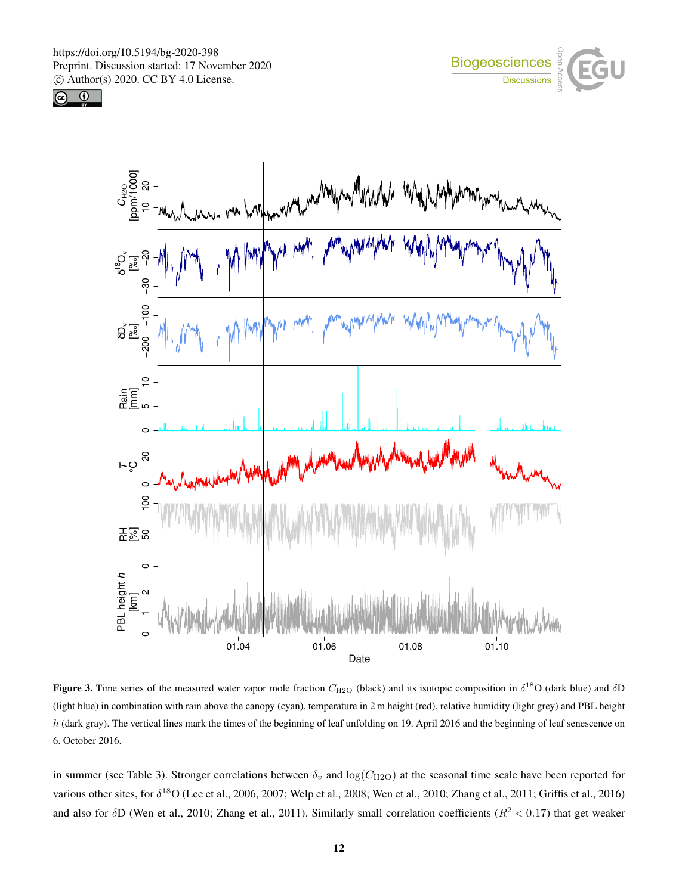





Figure 3. Time series of the measured water vapor mole fraction  $C_{\text{H2O}}$  (black) and its isotopic composition in  $\delta^{18}O$  (dark blue) and  $\delta D$ (light blue) in combination with rain above the canopy (cyan), temperature in 2 m height (red), relative humidity (light grey) and PBL height h (dark gray). The vertical lines mark the times of the beginning of leaf unfolding on 19. April 2016 and the beginning of leaf senescence on 6. October 2016.

in summer (see Table 3). Stronger correlations between  $\delta_v$  and  $\log(C_{\text{H2O}})$  at the seasonal time scale have been reported for various other sites, for  $\delta^{18}O$  (Lee et al., 2006, 2007; Welp et al., 2008; Wen et al., 2010; Zhang et al., 2011; Griffis et al., 2016) and also for  $\delta$ D (Wen et al., 2010; Zhang et al., 2011). Similarly small correlation coefficients ( $R^2$  < 0.17) that get weaker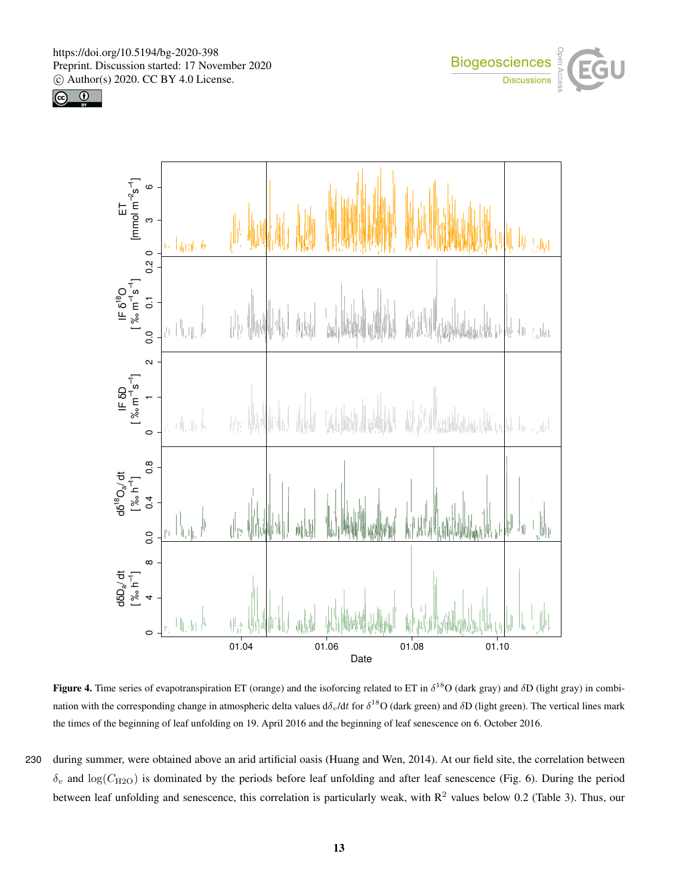





**Figure 4.** Time series of evapotranspiration ET (orange) and the isoforcing related to ET in  $\delta^{18}O$  (dark gray) and  $\delta D$  (light gray) in combination with the corresponding change in atmospheric delta values  $d\delta_v/dt$  for  $\delta^{18}O$  (dark green) and  $\delta D$  (light green). The vertical lines mark the times of the beginning of leaf unfolding on 19. April 2016 and the beginning of leaf senescence on 6. October 2016.

230 during summer, were obtained above an arid artificial oasis (Huang and Wen, 2014). At our field site, the correlation between  $\delta_v$  and  $\log(C_{\text{H2O}})$  is dominated by the periods before leaf unfolding and after leaf senescence (Fig. 6). During the period between leaf unfolding and senescence, this correlation is particularly weak, with  $R^2$  values below 0.2 (Table 3). Thus, our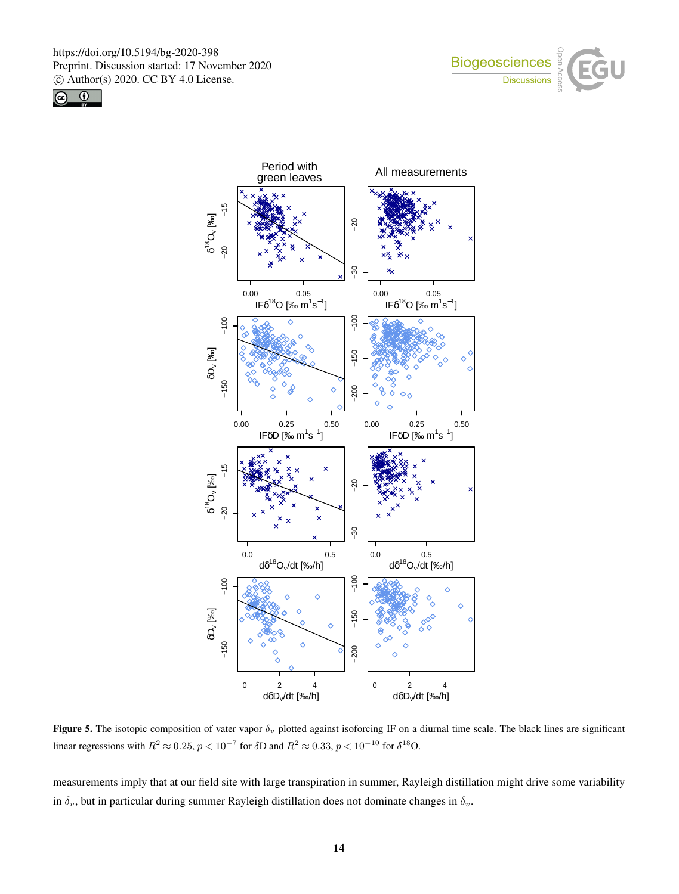





**Figure 5.** The isotopic composition of vater vapor  $\delta_v$  plotted against isoforcing IF on a diurnal time scale. The black lines are significant linear regressions with  $R^2 \approx 0.25$ ,  $p < 10^{-7}$  for  $\delta$ D and  $R^2 \approx 0.33$ ,  $p < 10^{-10}$  for  $\delta^{18}$ O.

measurements imply that at our field site with large transpiration in summer, Rayleigh distillation might drive some variability in  $\delta_v$ , but in particular during summer Rayleigh distillation does not dominate changes in  $\delta_v$ .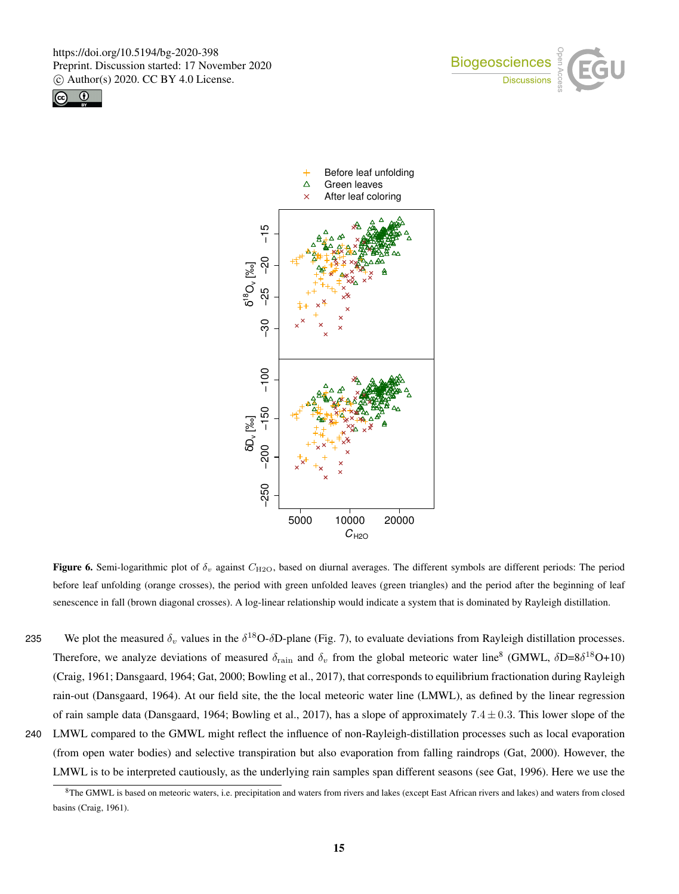





Figure 6. Semi-logarithmic plot of  $\delta_v$  against  $C_{\text{H2O}}$ , based on diurnal averages. The different symbols are different periods: The period before leaf unfolding (orange crosses), the period with green unfolded leaves (green triangles) and the period after the beginning of leaf senescence in fall (brown diagonal crosses). A log-linear relationship would indicate a system that is dominated by Rayleigh distillation.

235 We plot the measured  $\delta_v$  values in the  $\delta^{18}$ O- $\delta$ D-plane (Fig. 7), to evaluate deviations from Rayleigh distillation processes. Therefore, we analyze deviations of measured  $\delta_{\rm rain}$  and  $\delta_v$  from the global meteoric water line<sup>8</sup> (GMWL,  $\delta$ D=8 $\delta^{18}$ O+10) (Craig, 1961; Dansgaard, 1964; Gat, 2000; Bowling et al., 2017), that corresponds to equilibrium fractionation during Rayleigh rain-out (Dansgaard, 1964). At our field site, the the local meteoric water line (LMWL), as defined by the linear regression of rain sample data (Dansgaard, 1964; Bowling et al., 2017), has a slope of approximately  $7.4 \pm 0.3$ . This lower slope of the 240 LMWL compared to the GMWL might reflect the influence of non-Rayleigh-distillation processes such as local evaporation (from open water bodies) and selective transpiration but also evaporation from falling raindrops (Gat, 2000). However, the LMWL is to be interpreted cautiously, as the underlying rain samples span different seasons (see Gat, 1996). Here we use the

 $8$ The GMWL is based on meteoric waters, i.e. precipitation and waters from rivers and lakes (except East African rivers and lakes) and waters from closed basins (Craig, 1961).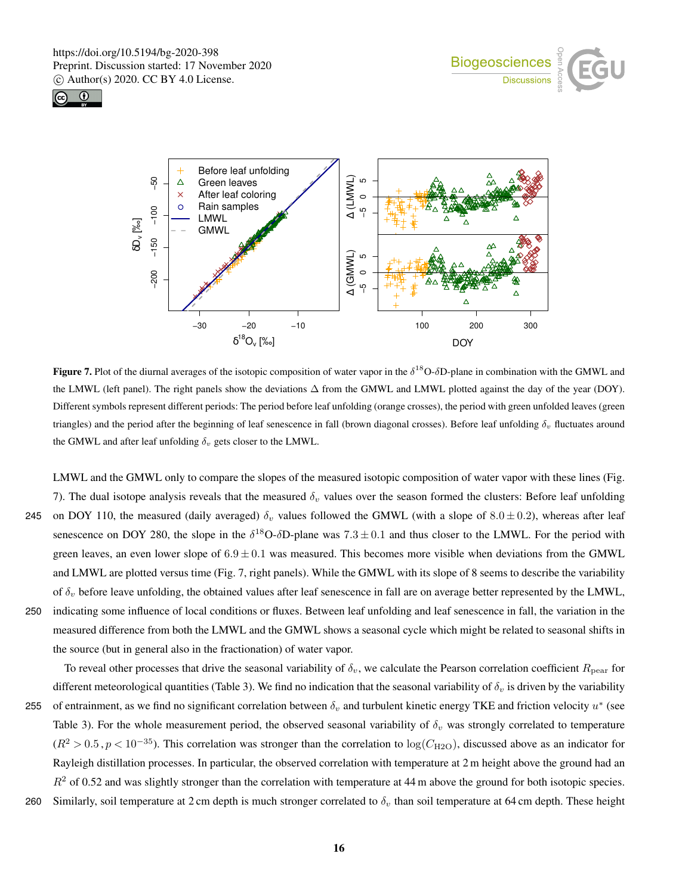





**Figure 7.** Plot of the diurnal averages of the isotopic composition of water vapor in the  $\delta^{18}O$ - $\delta D$ -plane in combination with the GMWL and the LMWL (left panel). The right panels show the deviations ∆ from the GMWL and LMWL plotted against the day of the year (DOY). Different symbols represent different periods: The period before leaf unfolding (orange crosses), the period with green unfolded leaves (green triangles) and the period after the beginning of leaf senescence in fall (brown diagonal crosses). Before leaf unfolding  $\delta_v$  fluctuates around the GMWL and after leaf unfolding  $\delta_v$  gets closer to the LMWL.

LMWL and the GMWL only to compare the slopes of the measured isotopic composition of water vapor with these lines (Fig. 7). The dual isotope analysis reveals that the measured  $\delta_v$  values over the season formed the clusters: Before leaf unfolding 245 on DOY 110, the measured (daily averaged)  $\delta_v$  values followed the GMWL (with a slope of 8.0 ± 0.2), whereas after leaf senescence on DOY 280, the slope in the  $\delta^{18}O-\delta D$ -plane was  $7.3 \pm 0.1$  and thus closer to the LMWL. For the period with green leaves, an even lower slope of  $6.9 \pm 0.1$  was measured. This becomes more visible when deviations from the GMWL and LMWL are plotted versus time (Fig. 7, right panels). While the GMWL with its slope of 8 seems to describe the variability of  $\delta_v$  before leave unfolding, the obtained values after leaf senescence in fall are on average better represented by the LMWL, 250 indicating some influence of local conditions or fluxes. Between leaf unfolding and leaf senescence in fall, the variation in the measured difference from both the LMWL and the GMWL shows a seasonal cycle which might be related to seasonal shifts in the source (but in general also in the fractionation) of water vapor.

To reveal other processes that drive the seasonal variability of  $\delta_v$ , we calculate the Pearson correlation coefficient  $R_{\text{pear}}$  for different meteorological quantities (Table 3). We find no indication that the seasonal variability of  $\delta_v$  is driven by the variability 255 of entrainment, as we find no significant correlation between  $\delta_v$  and turbulent kinetic energy TKE and friction velocity  $u^*$  (see Table 3). For the whole measurement period, the observed seasonal variability of  $\delta_v$  was strongly correlated to temperature  $(R^2 > 0.5, p < 10^{-35})$ . This correlation was stronger than the correlation to log( $C_{\text{H2O}}$ ), discussed above as an indicator for Rayleigh distillation processes. In particular, the observed correlation with temperature at 2 m height above the ground had an  $R<sup>2</sup>$  of 0.52 and was slightly stronger than the correlation with temperature at 44 m above the ground for both isotopic species. 260 Similarly, soil temperature at 2 cm depth is much stronger correlated to  $\delta_v$  than soil temperature at 64 cm depth. These height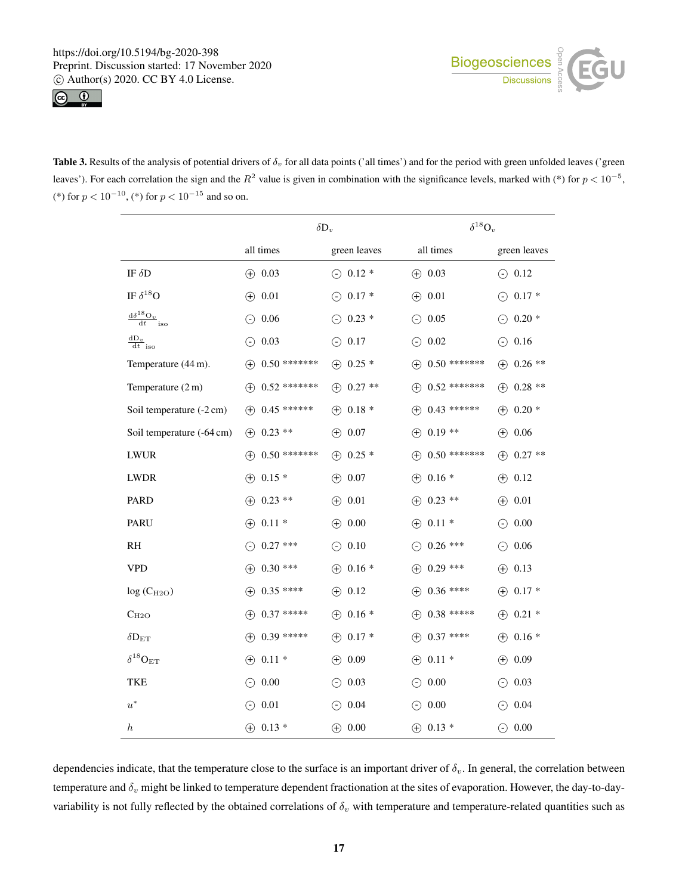



Table 3. Results of the analysis of potential drivers of  $\delta_v$  for all data points ('all times') and for the period with green unfolded leaves ('green leaves'). For each correlation the sign and the  $R^2$  value is given in combination with the significance levels, marked with (\*) for  $p < 10^{-5}$ , (\*) for  $p < 10^{-10}$ , (\*) for  $p < 10^{-15}$  and so on.

|                                                                       |                               | $\delta D_v$      | $\delta^{18}O_v$                           |                   |  |
|-----------------------------------------------------------------------|-------------------------------|-------------------|--------------------------------------------|-------------------|--|
|                                                                       | all times                     | green leaves      | all times                                  | green leaves      |  |
| IF $\delta D$                                                         | $(-) 0.03$                    | $\odot$ 0.12 $*$  | $(-) 0.03$                                 | $\odot$ 0.12      |  |
| IF $\delta^{18}{\rm O}$                                               | 0.01<br>$\bigoplus$           | $\odot$ 0.17 *    | $\oplus$ 0.01                              | $\odot$ 0.17 $*$  |  |
| $d\delta^{18}O_v$<br>$\overline{\mathrm{d}t}$<br>iso                  | 0.06<br>$\odot$               | $\odot$ 0.23 *    | 0.05<br>$(\text{-})$                       | $\odot$ 0.20 $*$  |  |
| $\underline{\mathrm{d} \mathrm{D}_v}$<br>$\overline{\mathrm{d}t}$ iso | 0.03<br>$\odot$               | $\odot$ 0.17      | $\odot$ 0.02                               | $\odot$ 0.16      |  |
| Temperature (44 m).                                                   | $0.50$ *******<br>$\bigoplus$ | $\oplus$ 0.25 $*$ | $\oplus$ 0.50 *******                      | $\oplus$ 0.26 **  |  |
| Temperature (2 m)                                                     | $0.52$ *******<br>$\bigoplus$ | $\oplus$ 0.27 **  | $0.52$ *******<br>$^{(+)}$                 | $\oplus$ 0.28 **  |  |
| Soil temperature (-2 cm)                                              | $0.45$ ******<br>$\circled$   | $(-) 0.18 *$      | $0.43$ ******<br>$\circled$                | $(+)$ 0.20 $*$    |  |
| Soil temperature (-64 cm)                                             | $0.23$ **<br>$^{(+)}$         | $(+)$ 0.07        | $0.19**$<br>$\circled$                     | $(+)$ 0.06        |  |
| <b>LWUR</b>                                                           | $0.50$ *******<br>$\circled$  | $\oplus$ 0.25 $*$ | $(+)$ 0.50 *******                         | $\oplus$ 0.27 **  |  |
| <b>LWDR</b>                                                           | $0.15*$<br>$\bigoplus$        | $(+)$ 0.07        | $0.16*$<br>$\bigoplus$                     | $\oplus$ 0.12     |  |
| PARD                                                                  | $0.23$ **<br>$^{(+)}$         | $(+)$ 0.01        | $\oplus$ 0.23 **                           | $(+)$ 0.01        |  |
| PARU                                                                  | $0.11*$<br>$\bigoplus$        | $(+)$ 0.00        | $0.11*$<br>$\bigoplus$                     | $\odot$ 0.00      |  |
| RH                                                                    | $0.27$ ***<br>⊖               | $\odot$ 0.10      | $0.26$ ***<br>$\left(\text{-}\right)$      | $\odot$ 0.06      |  |
| VPD                                                                   | $0.30$ ***<br>$\bigoplus$     | $(-)$ 0.16 $*$    | $0.29$ ***<br>$^{(+)}$                     | $(-) 0.13$        |  |
| $log(C_{H2O})$                                                        | $0.35$ ****<br>$\bigoplus$    | $(-) 0.12$        | $0.36$ ****<br>$^{(+)}$                    | $\oplus$ 0.17 *   |  |
| $C_{H2O}$                                                             | $0.37$ *****<br>$\bigoplus$   | $\oplus$ 0.16 *   | $0.38$ *****<br>$\left( +\right)$          | $\oplus$ 0.21 *   |  |
| $\delta D_{\rm ET}$                                                   | $0.39$ *****<br>$\bigoplus$   | $\oplus$ 0.17 *   | $0.37$ ****<br>$\left( \widehat{+}\right)$ | $\oplus$ 0.16 $*$ |  |
| $\delta^{18}\text{O}_{\text{ET}}$                                     | $0.11*$<br>$\bigoplus$        | $(-) 0.09$        | $\oplus$ 0.11 *                            | $(-) 0.09$        |  |
| TKE                                                                   | 0.00<br>⊖                     | $\odot$ 0.03      | $\odot$ 0.00                               | $\odot$ 0.03      |  |
| $u^*$                                                                 | 0.01<br>$\odot$               | $\odot$ 0.04      | 0.00<br>⊝                                  | $\odot$ 0.04      |  |
| $\boldsymbol{h}$                                                      | $\oplus$ 0.13 *               | $\oplus$ 0.00     | $\oplus$ 0.13 *                            | $\odot$ 0.00      |  |

dependencies indicate, that the temperature close to the surface is an important driver of  $\delta_v$ . In general, the correlation between temperature and  $\delta_v$  might be linked to temperature dependent fractionation at the sites of evaporation. However, the day-to-dayvariability is not fully reflected by the obtained correlations of  $\delta_v$  with temperature and temperature-related quantities such as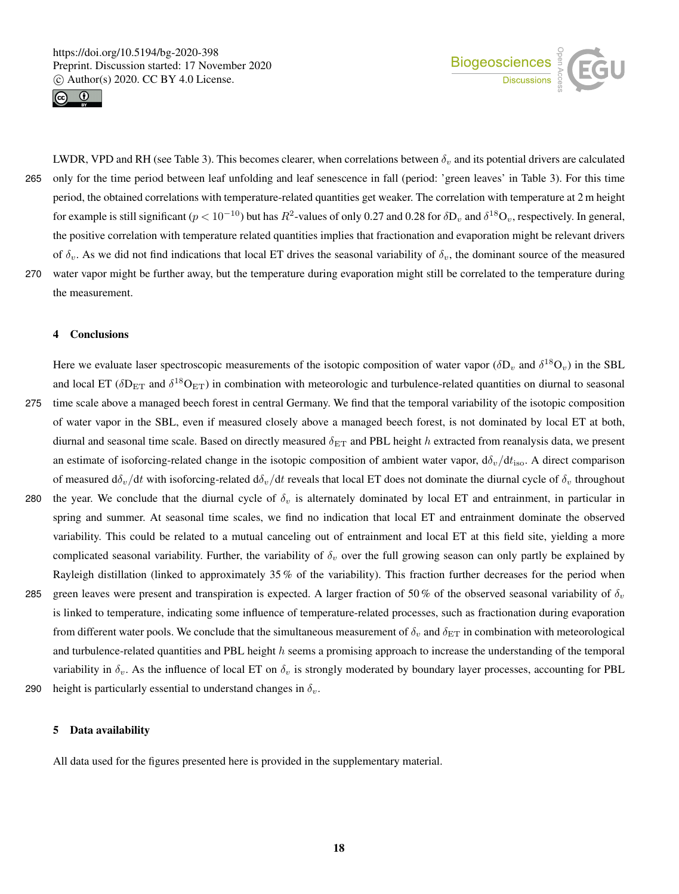



LWDR, VPD and RH (see Table 3). This becomes clearer, when correlations between  $\delta_v$  and its potential drivers are calculated 265 only for the time period between leaf unfolding and leaf senescence in fall (period: 'green leaves' in Table 3). For this time period, the obtained correlations with temperature-related quantities get weaker. The correlation with temperature at 2 m height for example is still significant ( $p < 10^{-10}$ ) but has  $R^2$ -values of only 0.27 and 0.28 for  $\delta D_v$  and  $\delta^{18}O_v$ , respectively. In general, the positive correlation with temperature related quantities implies that fractionation and evaporation might be relevant drivers of  $\delta_v$ . As we did not find indications that local ET drives the seasonal variability of  $\delta_v$ , the dominant source of the measured 270 water vapor might be further away, but the temperature during evaporation might still be correlated to the temperature during the measurement.

#### 4 Conclusions

Here we evaluate laser spectroscopic measurements of the isotopic composition of water vapor ( $\delta D_v$  and  $\delta^{18}O_v$ ) in the SBL and local ET ( $\delta D_{ET}$  and  $\delta^{18}O_{ET}$ ) in combination with meteorologic and turbulence-related quantities on diurnal to seasonal 275 time scale above a managed beech forest in central Germany. We find that the temporal variability of the isotopic composition

- of water vapor in the SBL, even if measured closely above a managed beech forest, is not dominated by local ET at both, diurnal and seasonal time scale. Based on directly measured  $\delta_{ET}$  and PBL height h extracted from reanalysis data, we present an estimate of isoforcing-related change in the isotopic composition of ambient water vapor,  $d\delta_v/dt_{\rm iso}$ . A direct comparison of measured  $d\delta_v/dt$  with isoforcing-related  $d\delta_v/dt$  reveals that local ET does not dominate the diurnal cycle of  $\delta_v$  throughout
- 280 the year. We conclude that the diurnal cycle of  $\delta_v$  is alternately dominated by local ET and entrainment, in particular in spring and summer. At seasonal time scales, we find no indication that local ET and entrainment dominate the observed variability. This could be related to a mutual canceling out of entrainment and local ET at this field site, yielding a more complicated seasonal variability. Further, the variability of  $\delta_v$  over the full growing season can only partly be explained by Rayleigh distillation (linked to approximately 35 % of the variability). This fraction further decreases for the period when
- 285 green leaves were present and transpiration is expected. A larger fraction of 50% of the observed seasonal variability of  $\delta_v$ is linked to temperature, indicating some influence of temperature-related processes, such as fractionation during evaporation from different water pools. We conclude that the simultaneous measurement of  $\delta_v$  and  $\delta_{ET}$  in combination with meteorological and turbulence-related quantities and PBL height  $h$  seems a promising approach to increase the understanding of the temporal variability in  $\delta_v$ . As the influence of local ET on  $\delta_v$  is strongly moderated by boundary layer processes, accounting for PBL 290 height is particularly essential to understand changes in  $\delta_v$ .
- 

# 5 Data availability

All data used for the figures presented here is provided in the supplementary material.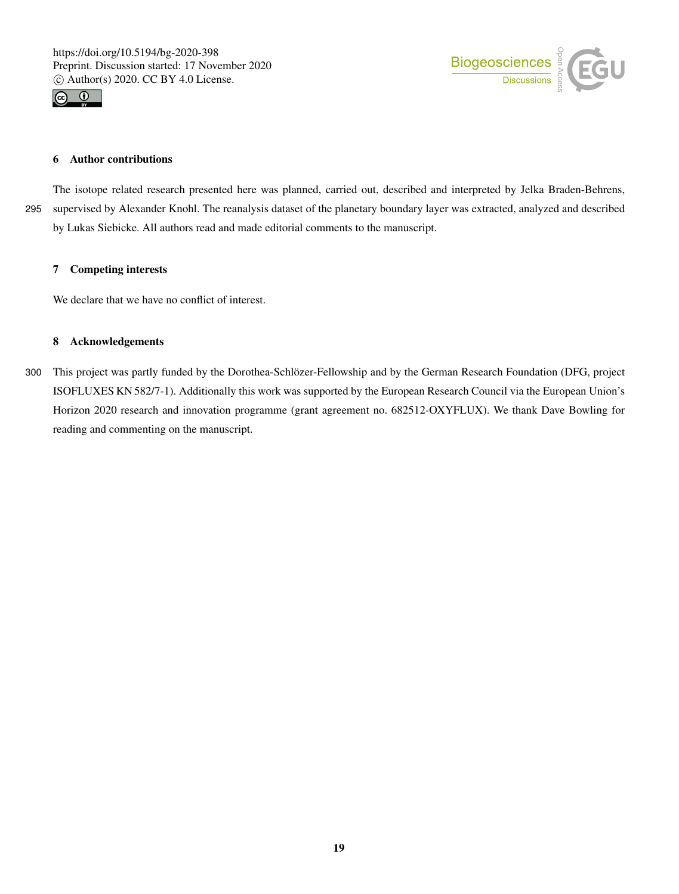



# 6 Author contributions

The isotope related research presented here was planned, carried out, described and interpreted by Jelka Braden-Behrens, 295 supervised by Alexander Knohl. The reanalysis dataset of the planetary boundary layer was extracted, analyzed and described by Lukas Siebicke. All authors read and made editorial comments to the manuscript.

# 7 Competing interests

We declare that we have no conflict of interest.

#### 8 Acknowledgements

300 This project was partly funded by the Dorothea-Schlözer-Fellowship and by the German Research Foundation (DFG, project ISOFLUXES KN 582/7-1). Additionally this work was supported by the European Research Council via the European Union's Horizon 2020 research and innovation programme (grant agreement no. 682512-OXYFLUX). We thank Dave Bowling for reading and commenting on the manuscript.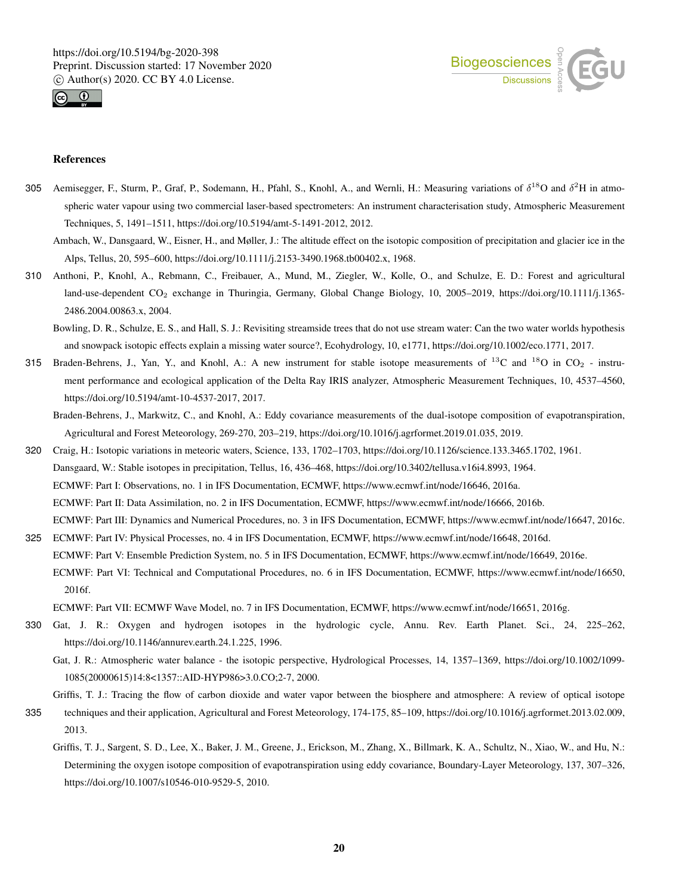



#### References

- 305 Aemisegger, F., Sturm, P., Graf, P., Sodemann, H., Pfahl, S., Knohl, A., and Wernli, H.: Measuring variations of  $\delta^{18}O$  and  $\delta^2H$  in atmospheric water vapour using two commercial laser-based spectrometers: An instrument characterisation study, Atmospheric Measurement Techniques, 5, 1491–1511, https://doi.org/10.5194/amt-5-1491-2012, 2012.
	- Ambach, W., Dansgaard, W., Eisner, H., and Møller, J.: The altitude effect on the isotopic composition of precipitation and glacier ice in the Alps, Tellus, 20, 595–600, https://doi.org/10.1111/j.2153-3490.1968.tb00402.x, 1968.
- 310 Anthoni, P., Knohl, A., Rebmann, C., Freibauer, A., Mund, M., Ziegler, W., Kolle, O., and Schulze, E. D.: Forest and agricultural land-use-dependent CO<sub>2</sub> exchange in Thuringia, Germany, Global Change Biology, 10, 2005–2019, https://doi.org/10.1111/j.1365-2486.2004.00863.x, 2004.
	- Bowling, D. R., Schulze, E. S., and Hall, S. J.: Revisiting streamside trees that do not use stream water: Can the two water worlds hypothesis and snowpack isotopic effects explain a missing water source?, Ecohydrology, 10, e1771, https://doi.org/10.1002/eco.1771, 2017.
- 315 Braden-Behrens, J., Yan, Y., and Knohl, A.: A new instrument for stable isotope measurements of  $^{13}$ C and  $^{18}$ O in CO<sub>2</sub> instrument performance and ecological application of the Delta Ray IRIS analyzer, Atmospheric Measurement Techniques, 10, 4537–4560, https://doi.org/10.5194/amt-10-4537-2017, 2017.
	- Braden-Behrens, J., Markwitz, C., and Knohl, A.: Eddy covariance measurements of the dual-isotope composition of evapotranspiration, Agricultural and Forest Meteorology, 269-270, 203–219, https://doi.org/10.1016/j.agrformet.2019.01.035, 2019.
- 320 Craig, H.: Isotopic variations in meteoric waters, Science, 133, 1702–1703, https://doi.org/10.1126/science.133.3465.1702, 1961. Dansgaard, W.: Stable isotopes in precipitation, Tellus, 16, 436–468, https://doi.org/10.3402/tellusa.v16i4.8993, 1964. ECMWF: Part I: Observations, no. 1 in IFS Documentation, ECMWF, https://www.ecmwf.int/node/16646, 2016a. ECMWF: Part II: Data Assimilation, no. 2 in IFS Documentation, ECMWF, https://www.ecmwf.int/node/16666, 2016b. ECMWF: Part III: Dynamics and Numerical Procedures, no. 3 in IFS Documentation, ECMWF, https://www.ecmwf.int/node/16647, 2016c.
- 325 ECMWF: Part IV: Physical Processes, no. 4 in IFS Documentation, ECMWF, https://www.ecmwf.int/node/16648, 2016d. ECMWF: Part V: Ensemble Prediction System, no. 5 in IFS Documentation, ECMWF, https://www.ecmwf.int/node/16649, 2016e. ECMWF: Part VI: Technical and Computational Procedures, no. 6 in IFS Documentation, ECMWF, https://www.ecmwf.int/node/16650, 2016f.

ECMWF: Part VII: ECMWF Wave Model, no. 7 in IFS Documentation, ECMWF, https://www.ecmwf.int/node/16651, 2016g.

- 330 Gat, J. R.: Oxygen and hydrogen isotopes in the hydrologic cycle, Annu. Rev. Earth Planet. Sci., 24, 225–262, https://doi.org/10.1146/annurev.earth.24.1.225, 1996.
	- Gat, J. R.: Atmospheric water balance the isotopic perspective, Hydrological Processes, 14, 1357–1369, https://doi.org/10.1002/1099- 1085(20000615)14:8<1357::AID-HYP986>3.0.CO;2-7, 2000.

Griffis, T. J.: Tracing the flow of carbon dioxide and water vapor between the biosphere and atmosphere: A review of optical isotope

- 335 techniques and their application, Agricultural and Forest Meteorology, 174-175, 85–109, https://doi.org/10.1016/j.agrformet.2013.02.009, 2013.
	- Griffis, T. J., Sargent, S. D., Lee, X., Baker, J. M., Greene, J., Erickson, M., Zhang, X., Billmark, K. A., Schultz, N., Xiao, W., and Hu, N.: Determining the oxygen isotope composition of evapotranspiration using eddy covariance, Boundary-Layer Meteorology, 137, 307–326, https://doi.org/10.1007/s10546-010-9529-5, 2010.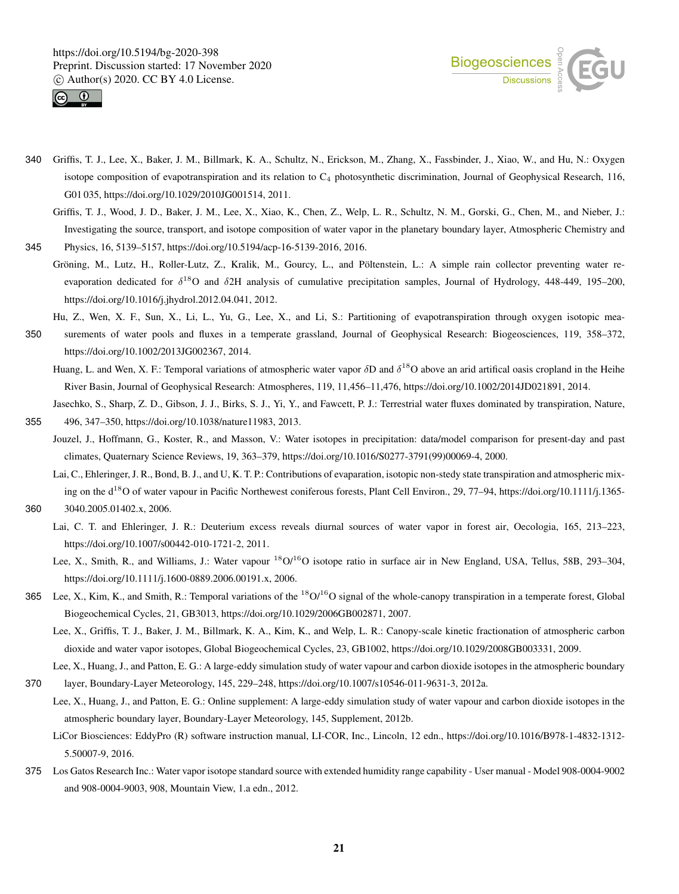



- 340 Griffis, T. J., Lee, X., Baker, J. M., Billmark, K. A., Schultz, N., Erickson, M., Zhang, X., Fassbinder, J., Xiao, W., and Hu, N.: Oxygen isotope composition of evapotranspiration and its relation to  $C_4$  photosynthetic discrimination, Journal of Geophysical Research, 116, G01 035, https://doi.org/10.1029/2010JG001514, 2011.
	- Griffis, T. J., Wood, J. D., Baker, J. M., Lee, X., Xiao, K., Chen, Z., Welp, L. R., Schultz, N. M., Gorski, G., Chen, M., and Nieber, J.: Investigating the source, transport, and isotope composition of water vapor in the planetary boundary layer, Atmospheric Chemistry and
- 345 Physics, 16, 5139–5157, https://doi.org/10.5194/acp-16-5139-2016, 2016.
	- Gröning, M., Lutz, H., Roller-Lutz, Z., Kralik, M., Gourcy, L., and Pöltenstein, L.: A simple rain collector preventing water reevaporation dedicated for  $\delta^{18}O$  and  $\delta$ 2H analysis of cumulative precipitation samples, Journal of Hydrology, 448-449, 195–200, https://doi.org/10.1016/j.jhydrol.2012.04.041, 2012.
	- Hu, Z., Wen, X. F., Sun, X., Li, L., Yu, G., Lee, X., and Li, S.: Partitioning of evapotranspiration through oxygen isotopic mea-
- 350 surements of water pools and fluxes in a temperate grassland, Journal of Geophysical Research: Biogeosciences, 119, 358–372, https://doi.org/10.1002/2013JG002367, 2014.
	- Huang, L. and Wen, X. F.: Temporal variations of atmospheric water vapor  $\delta$ D and  $\delta$ <sup>18</sup>O above an arid artifical oasis cropland in the Heihe River Basin, Journal of Geophysical Research: Atmospheres, 119, 11,456–11,476, https://doi.org/10.1002/2014JD021891, 2014.
	- Jasechko, S., Sharp, Z. D., Gibson, J. J., Birks, S. J., Yi, Y., and Fawcett, P. J.: Terrestrial water fluxes dominated by transpiration, Nature,
- 355 496, 347–350, https://doi.org/10.1038/nature11983, 2013. Jouzel, J., Hoffmann, G., Koster, R., and Masson, V.: Water isotopes in precipitation: data/model comparison for present-day and past climates, Quaternary Science Reviews, 19, 363–379, https://doi.org/10.1016/S0277-3791(99)00069-4, 2000.
- Lai, C., Ehleringer, J. R., Bond, B. J., and U, K. T. P.: Contributions of evaparation, isotopic non-stedy state transpiration and atmospheric mixing on the d<sup>18</sup>O of water vapour in Pacific Northewest coniferous forests, Plant Cell Environ., 29, 77–94, https://doi.org/10.1111/j.1365-360 3040.2005.01402.x, 2006.
- 
- Lai, C. T. and Ehleringer, J. R.: Deuterium excess reveals diurnal sources of water vapor in forest air, Oecologia, 165, 213–223, https://doi.org/10.1007/s00442-010-1721-2, 2011.
- Lee, X., Smith, R., and Williams, J.: Water vapour <sup>18</sup>O/<sup>16</sup>O isotope ratio in surface air in New England, USA, Tellus, 58B, 293–304, https://doi.org/10.1111/j.1600-0889.2006.00191.x, 2006.
- 365 Lee, X., Kim, K., and Smith, R.: Temporal variations of the  ${}^{18}O/{}^{16}O$  signal of the whole-canopy transpiration in a temperate forest, Global Biogeochemical Cycles, 21, GB3013, https://doi.org/10.1029/2006GB002871, 2007.
	- Lee, X., Griffis, T. J., Baker, J. M., Billmark, K. A., Kim, K., and Welp, L. R.: Canopy-scale kinetic fractionation of atmospheric carbon dioxide and water vapor isotopes, Global Biogeochemical Cycles, 23, GB1002, https://doi.org/10.1029/2008GB003331, 2009.
- Lee, X., Huang, J., and Patton, E. G.: A large-eddy simulation study of water vapour and carbon dioxide isotopes in the atmospheric boundary 370 layer, Boundary-Layer Meteorology, 145, 229–248, https://doi.org/10.1007/s10546-011-9631-3, 2012a.
	- Lee, X., Huang, J., and Patton, E. G.: Online supplement: A large-eddy simulation study of water vapour and carbon dioxide isotopes in the atmospheric boundary layer, Boundary-Layer Meteorology, 145, Supplement, 2012b.
		- LiCor Biosciences: EddyPro (R) software instruction manual, LI-COR, Inc., Lincoln, 12 edn., https://doi.org/10.1016/B978-1-4832-1312- 5.50007-9, 2016.
- 375 Los Gatos Research Inc.: Water vapor isotope standard source with extended humidity range capability User manual Model 908-0004-9002 and 908-0004-9003, 908, Mountain View, 1.a edn., 2012.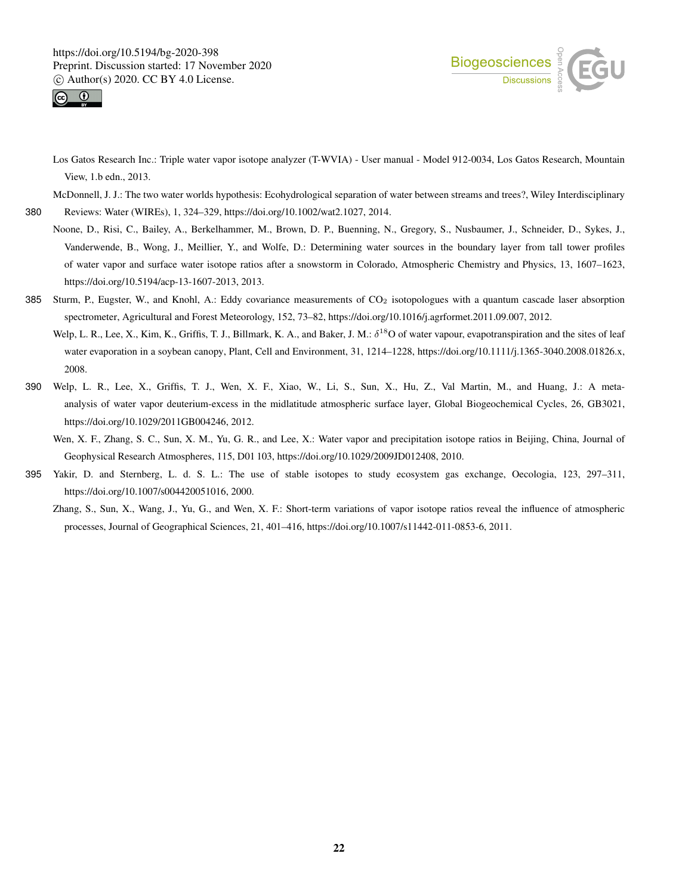



Los Gatos Research Inc.: Triple water vapor isotope analyzer (T-WVIA) - User manual - Model 912-0034, Los Gatos Research, Mountain View, 1.b edn., 2013.

McDonnell, J. J.: The two water worlds hypothesis: Ecohydrological separation of water between streams and trees?, Wiley Interdisciplinary

380 Reviews: Water (WIREs), 1, 324–329, https://doi.org/10.1002/wat2.1027, 2014.

- Noone, D., Risi, C., Bailey, A., Berkelhammer, M., Brown, D. P., Buenning, N., Gregory, S., Nusbaumer, J., Schneider, D., Sykes, J., Vanderwende, B., Wong, J., Meillier, Y., and Wolfe, D.: Determining water sources in the boundary layer from tall tower profiles of water vapor and surface water isotope ratios after a snowstorm in Colorado, Atmospheric Chemistry and Physics, 13, 1607–1623, https://doi.org/10.5194/acp-13-1607-2013, 2013.
- 385 Sturm, P., Eugster, W., and Knohl, A.: Eddy covariance measurements of  $CO<sub>2</sub>$  isotopologues with a quantum cascade laser absorption spectrometer, Agricultural and Forest Meteorology, 152, 73–82, https://doi.org/10.1016/j.agrformet.2011.09.007, 2012.
	- Welp, L. R., Lee, X., Kim, K., Griffis, T. J., Billmark, K. A., and Baker, J. M.:  $\delta^{18}O$  of water vapour, evapotranspiration and the sites of leaf water evaporation in a soybean canopy, Plant, Cell and Environment, 31, 1214–1228, https://doi.org/10.1111/j.1365-3040.2008.01826.x, 2008.
- 390 Welp, L. R., Lee, X., Griffis, T. J., Wen, X. F., Xiao, W., Li, S., Sun, X., Hu, Z., Val Martin, M., and Huang, J.: A metaanalysis of water vapor deuterium-excess in the midlatitude atmospheric surface layer, Global Biogeochemical Cycles, 26, GB3021, https://doi.org/10.1029/2011GB004246, 2012.
	- Wen, X. F., Zhang, S. C., Sun, X. M., Yu, G. R., and Lee, X.: Water vapor and precipitation isotope ratios in Beijing, China, Journal of Geophysical Research Atmospheres, 115, D01 103, https://doi.org/10.1029/2009JD012408, 2010.
- 395 Yakir, D. and Sternberg, L. d. S. L.: The use of stable isotopes to study ecosystem gas exchange, Oecologia, 123, 297–311, https://doi.org/10.1007/s004420051016, 2000.
	- Zhang, S., Sun, X., Wang, J., Yu, G., and Wen, X. F.: Short-term variations of vapor isotope ratios reveal the influence of atmospheric processes, Journal of Geographical Sciences, 21, 401–416, https://doi.org/10.1007/s11442-011-0853-6, 2011.